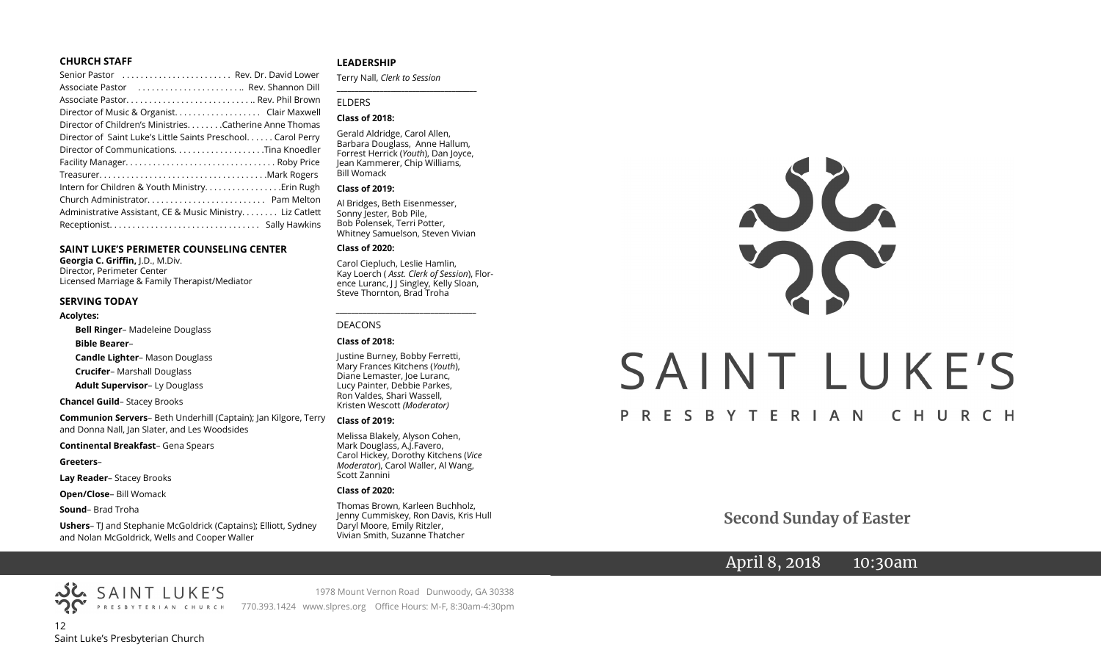#### **CHURCH STAFF**

| Senior Pastor  Rev. Dr. David Lower                           |
|---------------------------------------------------------------|
| Associate Pastor  Rev. Shannon Dill                           |
|                                                               |
| Director of Music & Organist. Clair Maxwell                   |
| Director of Children's Ministries. Catherine Anne Thomas      |
| Director of Saint Luke's Little Saints Preschool. Carol Perry |
| Director of CommunicationsTina Knoedler                       |
|                                                               |
|                                                               |
|                                                               |
|                                                               |
| Administrative Assistant, CE & Music Ministry Liz Catlett     |
|                                                               |

#### **SAINT LUKE'S PERIMETER COUNSELING CENTER**

**Georgia C. Griffin,** J.D., M.Div. Director, Perimeter Center Licensed Marriage & Family Therapist/Mediator

#### **SERVING TODAY**

#### **Acolytes:**

**Bell Ringer**– Madeleine Douglass

#### **Bible Bearer**–

**Candle Lighter**– Mason Douglass

**Crucifer**– Marshall Douglass

**Adult Supervisor**– Ly Douglass

**Chancel Guild**– Stacey Brooks

**Communion Servers**– Beth Underhill (Captain); Jan Kilgore, Terry and Donna Nall, Jan Slater, and Les Woodsides

**Continental Breakfast**– Gena Spears

**Greeters**–

**Lay Reader**– Stacey Brooks

**Open/Close**– Bill Womack

**Sound**– Brad Troha

**Ushers**– TJ and Stephanie McGoldrick (Captains); Elliott, Sydney and Nolan McGoldrick, Wells and Cooper Waller

#### **LEADERSHIP**

Terry Nall, *Clerk to Session* 

**\_\_\_\_\_\_\_\_\_\_\_\_\_\_\_\_\_\_\_\_\_\_\_\_\_\_\_\_\_\_\_\_\_\_\_\_\_\_\_**

#### ELDERS

#### **Class of 2018:**

Gerald Aldridge, Carol Allen, Barbara Douglass, Anne Hallum, Forrest Herrick (*Youth*), Dan Joyce, Jean Kammerer, Chip Williams, Bill Womack

#### **Class of 2019:**

Al Bridges, Beth Eisenmesser, Sonny Jester, Bob Pile, Bob Polensek, Terri Potter, Whitney Samuelson, Steven Vivian

#### **Class of 2020:**

Carol Ciepluch, Leslie Hamlin, Kay Loerch ( *Asst. Clerk of Session*), Florence Luranc, J J Singley, Kelly Sloan, Steve Thornton, Brad Troha

*\_\_\_\_\_\_\_\_\_\_\_\_\_\_\_\_\_\_\_\_\_\_\_\_\_\_\_\_\_\_\_\_\_\_\_\_\_*

#### DEACONS

#### **Class of 2018:**

Justine Burney, Bobby Ferretti, Mary Frances Kitchens (*Youth*), Diane Lemaster, Joe Luranc, Lucy Painter, Debbie Parkes, Ron Valdes, Shari Wassell, Kristen Wescott *(Moderator)*

#### **Class of 2019:**

Melissa Blakely, Alyson Cohen, Mark Douglass, A.J.Favero, Carol Hickey, Dorothy Kitchens (*Vice Moderator*), Carol Waller, Al Wang, Scott Zannini

#### **Class of 2020:**

Thomas Brown, Karleen Buchholz, Jenny Cummiskey, Ron Davis, Kris Hull Daryl Moore, Emily Ritzler, Vivian Smith, Suzanne Thatcher



**Second Sunday of Easter**

# April 8, 2018 10:30am

12 Saint Luke's Presbyterian Church

SAINT LUKE'S

1978 Mount Vernon Road Dunwoody, GA 30338 PRESBYTERIAN CHURCH 770.393.1424 www.slpres.org Office Hours: M-F, 8:30am-4:30pm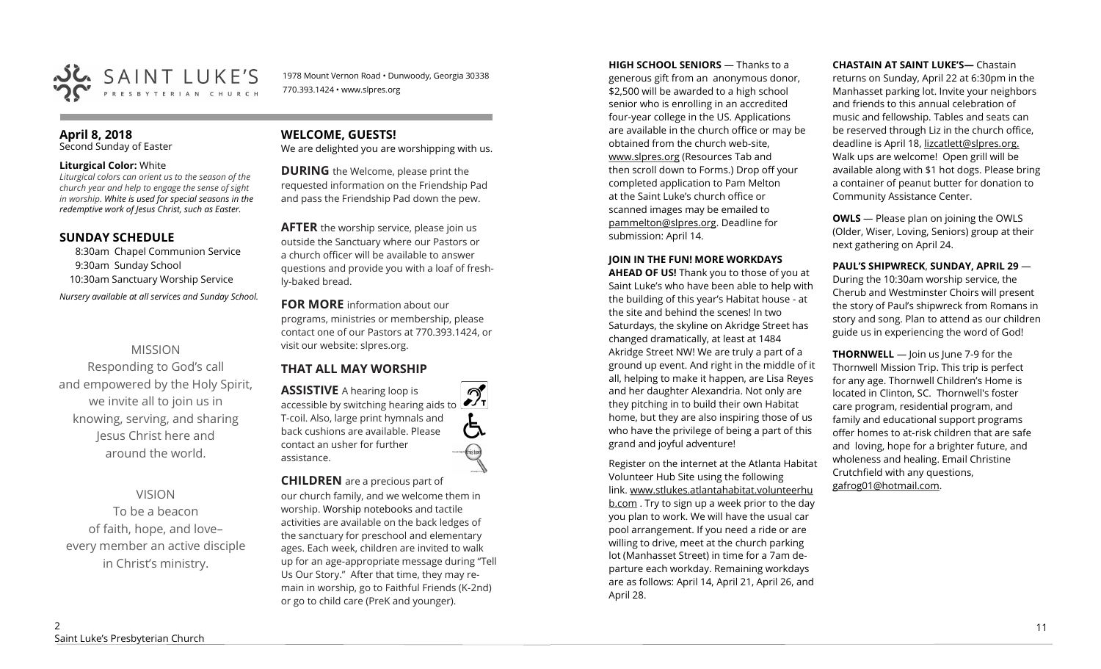

1978 Mount Vernon Road • Dunwoody, Georgia 30338 770.393.1424 • www.slpres.org

# **April 8, 2018**

Second Sunday of Easter

#### **Liturgical Color:** White

*Liturgical colors can orient us to the season of the church year and help to engage the sense of sight in worship. White is used for special seasons in the redemptive work of Jesus Christ, such as Easter.* 

## **SUNDAY SCHEDULE**

8:30am Chapel Communion Service 9:30am Sunday School 10:30am Sanctuary Worship Service *Nursery available at all services and Sunday School.* 

# MISSION

Responding to God's call and empowered by the Holy Spirit, we invite all to join us in knowing, serving, and sharing Jesus Christ here and around the world.

# VISION

To be a beacon of faith, hope, and love– every member an active disciple in Christ's ministry.

# **WELCOME, GUESTS!**

We are delighted you are worshipping with us.

**DURING** the Welcome, please print the requested information on the Friendship Pad and pass the Friendship Pad down the pew.

**AFTER** the worship service, please join us outside the Sanctuary where our Pastors or a church officer will be available to answer questions and provide you with a loaf of freshly-baked bread.

**FOR MORE** information about our programs, ministries or membership, please contact one of our Pastors at 770.393.1424, or visit our website: slpres.org.

# **THAT ALL MAY WORSHIP**

**ASSISTIVE** A hearing loop is  $\mathcal{D}_{\mathrm{r}}$ accessible by switching hearing aids to T-coil. Also, large print hymnals and (气 back cushions are available. Please contact an usher for further assistance.

**CHILDREN** are a precious part of

our church family, and we welcome them in worship. Worship notebooks and tactile activities are available on the back ledges of the sanctuary for preschool and elementary ages. Each week, children are invited to walk up for an age-appropriate message during "Tell Us Our Story." After that time, they may remain in worship, go to Faithful Friends (K-2nd) or go to child care (PreK and younger).

**HIGH SCHOOL SENIORS** — Thanks to a generous gift from an anonymous donor, \$2,500 will be awarded to a high school senior who is enrolling in an accredited four-year college in the US. Applications are available in the church office or may be obtained from the church web-site, www.slpres.org (Resources Tab and then scroll down to Forms.) Drop off your completed application to Pam Melton at the Saint Luke's church office or scanned images may be emailed to [pammelton@slpres.org.](mailto:pammelton@slpres.org) Deadline for submission: April 14.

#### **JOIN IN THE FUN! MORE WORKDAYS**

**AHEAD OF US!** Thank you to those of you at Saint Luke's who have been able to help with the building of this year's Habitat house - at the site and behind the scenes! In two Saturdays, the skyline on Akridge Street has changed dramatically, at least at 1484 Akridge Street NW! We are truly a part of a ground up event. And right in the middle of it all, helping to make it happen, are Lisa Reyes and her daughter Alexandria. Not only are they pitching in to build their own Habitat home, but they are also inspiring those of us who have the privilege of being a part of this grand and joyful adventure!

Register on the internet at the Atlanta Habitat Volunteer Hub Site using the following link. [www.stlukes.atlantahabitat.volunteerhu](http://www.stlukes.atlantahabitat.volunteerhub.com/) [b.com](http://www.stlukes.atlantahabitat.volunteerhub.com/). Try to sign up a week prior to the day you plan to work. We will have the usual car pool arrangement. If you need a ride or are willing to drive, meet at the church parking lot (Manhasset Street) in time for a 7am departure each workday. Remaining workdays are as follows: April 14, April 21, April 26, and April 28.

#### **CHASTAIN AT SAINT LUKE'S—** Chastain

returns on Sunday, April 22 at 6:30pm in the Manhasset parking lot. Invite your neighbors and friends to this annual celebration of music and fellowship. Tables and seats can be reserved through Liz in the church office, deadline is April 18, lizcatlett@slpres.org. Walk ups are welcome! Open grill will be available along with \$1 hot dogs. Please bring a container of peanut butter for donation to Community Assistance Center.

**OWLS** — Please plan on joining the OWLS (Older, Wiser, Loving, Seniors) group at their next gathering on April 24.

**PAUL'S SHIPWRECK**, **SUNDAY, APRIL 29** — During the 10:30am worship service, the Cherub and Westminster Choirs will present the story of Paul's shipwreck from Romans in story and song. Plan to attend as our children guide us in experiencing the word of God!

**THORNWELL** — Join us June 7-9 for the Thornwell Mission Trip. This trip is perfect for any age. Thornwell Children's Home is located in Clinton, SC. Thornwell's foster care program, residential program, and family and educational support programs offer homes to at-risk children that are safe and loving, hope for a brighter future, and wholeness and healing. Email Christine Crutchfield with any questions, gafrog01@hotmail.com.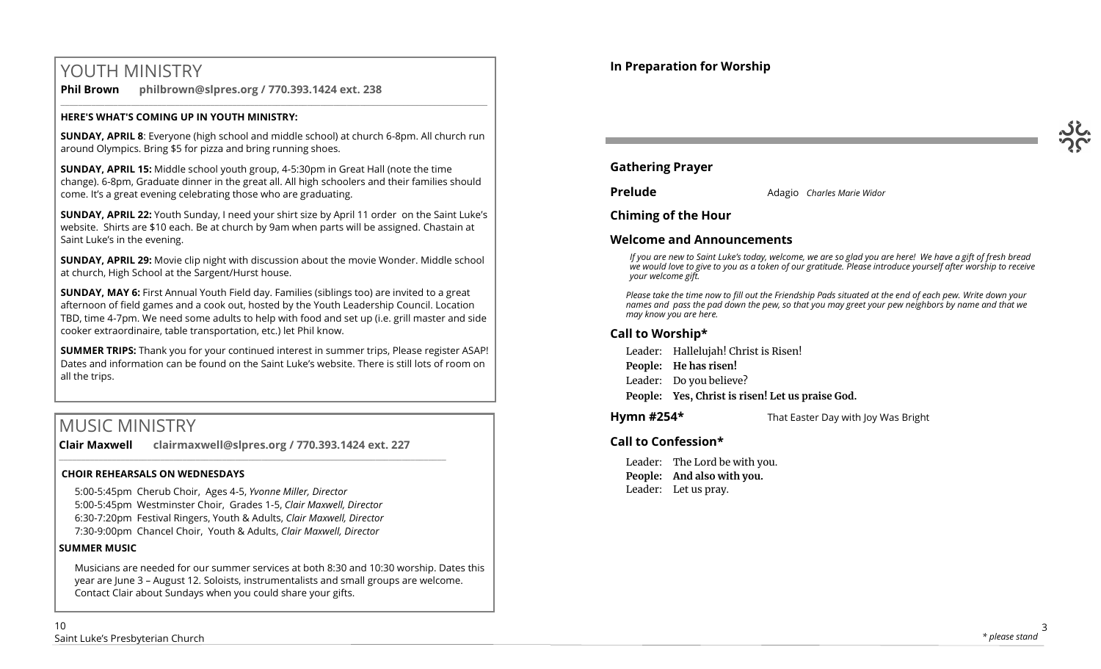# YOUTH MINISTRY

**Phil Brown philbrown@slpres.org / 770.393.1424 ext. 238**   $\_$  ,  $\_$  ,  $\_$  ,  $\_$  ,  $\_$  ,  $\_$  ,  $\_$  ,  $\_$  ,  $\_$  ,  $\_$  ,  $\_$  ,  $\_$  ,  $\_$  ,  $\_$  ,  $\_$  ,  $\_$  ,  $\_$  ,  $\_$  ,  $\_$  ,  $\_$  ,  $\_$  ,  $\_$  ,  $\_$  ,  $\_$  ,  $\_$  ,  $\_$  ,  $\_$  ,  $\_$  ,  $\_$  ,  $\_$  ,  $\_$  ,  $\_$  ,  $\_$  ,  $\_$  ,  $\_$  ,  $\_$  ,  $\_$  ,

## **HERE'S WHAT'S COMING UP IN YOUTH MINISTRY:**

**SUNDAY, APRIL 8**: Everyone (high school and middle school) at church 6-8pm. All church run around Olympics. Bring \$5 for pizza and bring running shoes.

**SUNDAY, APRIL 15:** Middle school youth group, 4-5:30pm in Great Hall (note the time change). 6-8pm, Graduate dinner in the great all. All high schoolers and their families should come. It's a great evening celebrating those who are graduating.

**SUNDAY, APRIL 22:** Youth Sunday, I need your shirt size by April 11 order on the Saint Luke's website. Shirts are \$10 each. Be at church by 9am when parts will be assigned. Chastain at Saint Luke's in the evening.

**SUNDAY, APRIL 29:** Movie clip night with discussion about the movie Wonder. Middle school at church, High School at the Sargent/Hurst house.

**SUNDAY, MAY 6:** First Annual Youth Field day. Families (siblings too) are invited to a great afternoon of field games and a cook out, hosted by the Youth Leadership Council. Location TBD, time 4-7pm. We need some adults to help with food and set up (i.e. grill master and side cooker extraordinaire, table transportation, etc.) let Phil know.

**SUMMER TRIPS:** Thank you for your continued interest in summer trips, Please register ASAP! Dates and information can be found on the Saint Luke's website. There is still lots of room on all the trips.

# MUSIC MINISTRY

**Clair Maxwell clairmaxwell@slpres.org / 770.393.1424 ext. 227**  \_\_\_\_\_\_\_\_\_\_\_\_\_\_\_\_\_\_\_\_\_\_\_\_\_\_\_\_\_\_\_\_\_\_\_\_\_\_\_\_\_\_\_\_\_\_\_\_\_\_\_\_\_\_\_\_\_\_\_\_\_\_\_\_\_\_\_\_\_\_\_\_\_\_\_\_\_\_\_\_\_\_\_\_\_\_\_\_

# **CHOIR REHEARSALS ON WEDNESDAYS**

5:00-5:45pm Cherub Choir, Ages 4-5, *Yvonne Miller, Director*  5:00-5:45pm Westminster Choir, Grades 1-5, *Clair Maxwell, Director*  6:30-7:20pm Festival Ringers, Youth & Adults, *Clair Maxwell, Director*  7:30-9:00pm Chancel Choir, Youth & Adults, *Clair Maxwell, Director* 

# **SUMMER MUSIC**

Musicians are needed for our summer services at both 8:30 and 10:30 worship. Dates this year are June 3 – August 12. Soloists, instrumentalists and small groups are welcome. Contact Clair about Sundays when you could share your gifts.



# **Gathering Prayer**

**Prelude** Adagio *Charles Marie Widor* 

**Chiming of the Hour**

# **Welcome and Announcements**

*If you are new to Saint Luke's today, welcome, we are so glad you are here! We have a gift of fresh bread we would love to give to you as a token of our gratitude. Please introduce yourself after worship to receive your welcome gift.*

*Please take the time now to fill out the Friendship Pads situated at the end of each pew. Write down your names and pass the pad down the pew, so that you may greet your pew neighbors by name and that we may know you are here.*

# **Call to Worship\***

Leader: Hallelujah! Christ is Risen!

**People: He has risen!**

Leader: Do you believe?

**People: Yes, Christ is risen! Let us praise God.** 

**Hymn #254\*** That Easter Day with Joy Was Bright

# **Call to Confession\***

Leader: The Lord be with you. **People: And also with you.** Leader: Let us pray.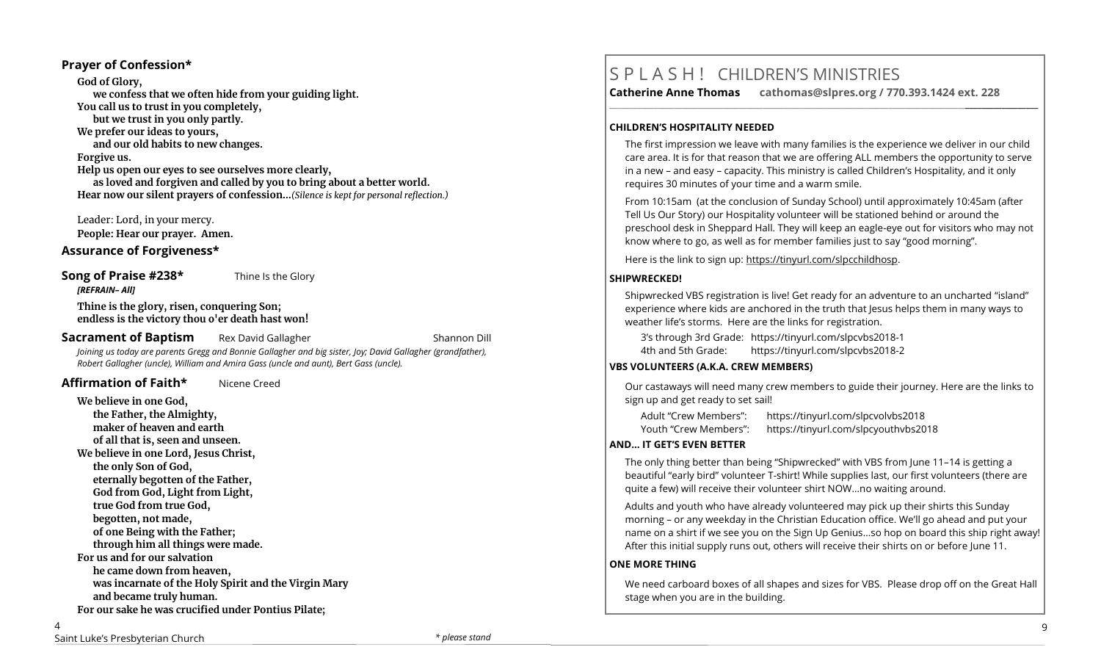### **Prayer of Confession\***

**God of Glory, we confess that we often hide from your guiding light. You call us to trust in you completely, but we trust in you only partly. We prefer our ideas to yours, and our old habits to new changes. Forgive us. Help us open our eyes to see ourselves more clearly, as loved and forgiven and called by you to bring about a better world. Hear now our silent prayers of confession…***(Silence is kept for personal reflection.)*

Leader: Lord, in your mercy.

**People: Hear our prayer. Amen.**

### **Assurance of Forgiveness\***

## **Song of Praise #238\*** Thine Is the Glory

**Thine is the glory, risen, conquering Son; endless is the victory thou o'er death hast won!**

#### **Sacrament of Baptism** Rex David Gallagher **Research American Constanting Constanting Constanting Constanting Constanting Constanting Constanting Constanting Constanting Constanting Constanting Constanting Constanting Cons**

*[REFRAIN– All]*

*Joining us today are parents Gregg and Bonnie Gallagher and big sister, Joy; David Gallagher (grandfather), Robert Gallagher (uncle), William and Amira Gass (uncle and aunt), Bert Gass (uncle).*

## **Affirmation of Faith\*** Nicene Creed

**We believe in one God, the Father, the Almighty, maker of heaven and earth of all that is, seen and unseen. We believe in one Lord, Jesus Christ, the only Son of God, eternally begotten of the Father, God from God, Light from Light, true God from true God, begotten, not made, of one Being with the Father; through him all things were made. For us and for our salvation he came down from heaven, was incarnate of the Holy Spirit and the Virgin Mary and became truly human. For our sake he was crucified under Pontius Pilate;**

# S P L A S H ! CHILDREN'S MINISTRIES

**Catherine Anne Thomas cathomas@slpres.org / 770.393.1424 ext. 228 \_\_\_\_\_\_\_\_\_\_\_\_\_\_\_\_\_\_\_\_\_\_\_\_\_\_\_\_\_\_\_\_\_\_\_\_\_\_\_\_\_\_\_\_\_\_\_\_\_\_\_\_\_\_\_\_\_\_\_\_\_\_\_\_\_\_\_\_\_\_\_\_\_\_\_\_\_\_\_\_\_\_\_\_\_\_\_\_\_\_\_\_\_\_\_\_\_\_\_\_\_\_\_\_\_\_** 

#### **CHILDREN'S HOSPITALITY NEEDED**

The first impression we leave with many families is the experience we deliver in our child care area. It is for that reason that we are offering ALL members the opportunity to serve in a new – and easy – capacity. This ministry is called Children's Hospitality, and it only requires 30 minutes of your time and a warm smile.

From 10:15am (at the conclusion of Sunday School) until approximately 10:45am (after Tell Us Our Story) our Hospitality volunteer will be stationed behind or around the preschool desk in Sheppard Hall. They will keep an eagle-eye out for visitors who may not know where to go, as well as for member families just to say "good morning".

Here is the link to sign up: https://tinyurl.com/slpcchildhosp.

#### **SHIPWRECKED!**

Shipwrecked VBS registration is live! Get ready for an adventure to an uncharted "island" experience where kids are anchored in the truth that Jesus helps them in many ways to weather life's storms. Here are the links for registration.

3's through 3rd Grade: https://tinyurl.com/slpcvbs2018-1

4th and 5th Grade: https://tinyurl.com/slpcvbs2018-2

#### **VBS VOLUNTEERS (A.K.A. CREW MEMBERS)**

Our castaways will need many crew members to guide their journey. Here are the links to sign up and get ready to set sail!

| Adult "Crew Members": | https://tinyurl.com/slpcvolvbs2018   |
|-----------------------|--------------------------------------|
| Youth "Crew Members": | https://tinyurl.com/slpcyouthvbs2018 |

#### **AND... IT GET'S EVEN BETTER**

The only thing better than being "Shipwrecked" with VBS from June 11–14 is getting a beautiful "early bird" volunteer T-shirt! While supplies last, our first volunteers (there are quite a few) will receive their volunteer shirt NOW…no waiting around.

Adults and youth who have already volunteered may pick up their shirts this Sunday morning – or any weekday in the Christian Education office. We'll go ahead and put your name on a shirt if we see you on the Sign Up Genius…so hop on board this ship right away! After this initial supply runs out, others will receive their shirts on or before June 11.

#### **ONE MORE THING**

We need carboard boxes of all shapes and sizes for VBS. Please drop off on the Great Hall stage when you are in the building.

 $\overline{\Delta}$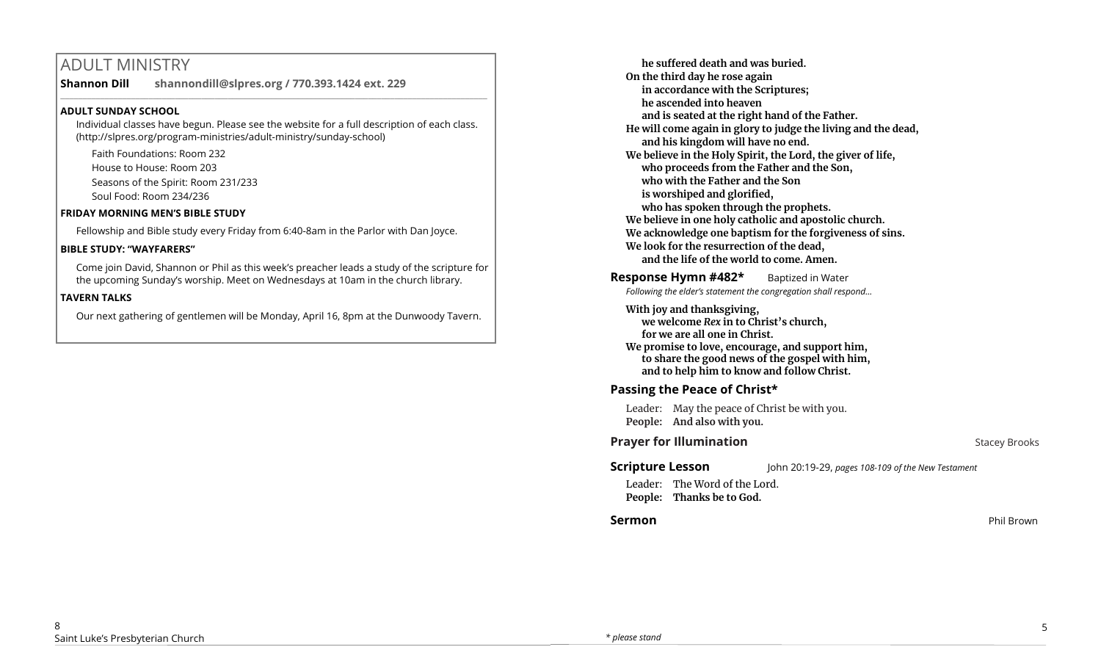# ADULT MINISTRY

**Shannon Dill shannondill@slpres.org / 770.393.1424 ext. 229**   $\_$  ,  $\_$  ,  $\_$  ,  $\_$  ,  $\_$  ,  $\_$  ,  $\_$  ,  $\_$  ,  $\_$  ,  $\_$  ,  $\_$  ,  $\_$  ,  $\_$  ,  $\_$  ,  $\_$  ,  $\_$  ,  $\_$  ,  $\_$  ,  $\_$  ,  $\_$ 

### **ADULT SUNDAY SCHOOL**

Individual classes have begun. Please see the website for a full description of each class. (http://slpres.org/program-ministries/adult-ministry/sunday-school)

Faith Foundations: Room 232 House to House: Room 203 Seasons of the Spirit: Room 231/233

Soul Food: Room 234/236

#### **FRIDAY MORNING MEN'S BIBLE STUDY**

Fellowship and Bible study every Friday from 6:40-8am in the Parlor with Dan Joyce.

#### **BIBLE STUDY: "WAYFARERS"**

Come join David, Shannon or Phil as this week's preacher leads a study of the scripture for the upcoming Sunday's worship. Meet on Wednesdays at 10am in the church library.

## **TAVERN TALKS**

Our next gathering of gentlemen will be Monday, April 16, 8pm at the Dunwoody Tavern.

**he suffered death and was buried. On the third day he rose again in accordance with the Scriptures; he ascended into heaven and is seated at the right hand of the Father. He will come again in glory to judge the living and the dead, and his kingdom will have no end. We believe in the Holy Spirit, the Lord, the giver of life, who proceeds from the Father and the Son, who with the Father and the Son is worshiped and glorified, who has spoken through the prophets. We believe in one holy catholic and apostolic church. We acknowledge one baptism for the forgiveness of sins. We look for the resurrection of the dead, and the life of the world to come. Amen.**

**Response Hymn #482\*** Baptized in Water *Following the elder's statement the congregation shall respond...*

**With joy and thanksgiving, we welcome** *Rex* **in to Christ's church, for we are all one in Christ. We promise to love, encourage, and support him, to share the good news of the gospel with him, and to help him to know and follow Christ.**

# **Passing the Peace of Christ\***

Leader: May the peace of Christ be with you. **People: And also with you.** 

# **Prayer for Illumination Stacey Brooks**

**Scripture Lesson** John 20:19-29, *pages 108-109 of the New Testament*  Leader: The Word of the Lord. **People: Thanks be to God.**

## **Sermon** Phil Brown